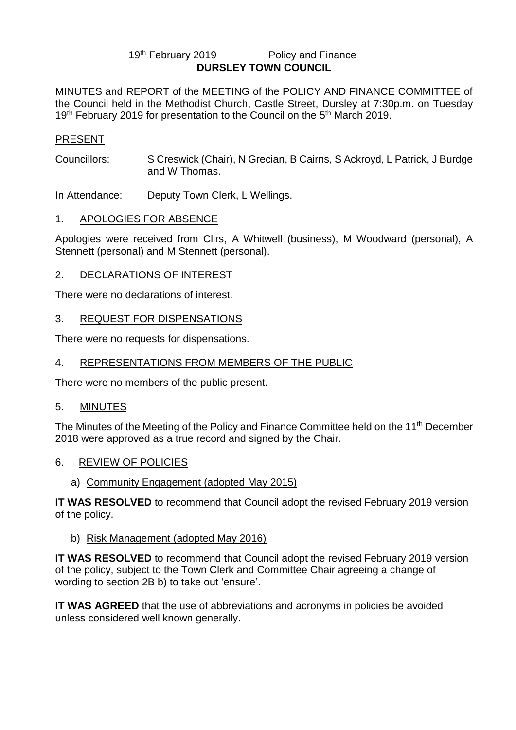#### 19th February 2019 **Policy and Finance DURSLEY TOWN COUNCIL**

MINUTES and REPORT of the MEETING of the POLICY AND FINANCE COMMITTEE of the Council held in the Methodist Church, Castle Street, Dursley at 7:30p.m. on Tuesday 19<sup>th</sup> February 2019 for presentation to the Council on the 5<sup>th</sup> March 2019.

## PRESENT

Councillors: S Creswick (Chair), N Grecian, B Cairns, S Ackroyd, L Patrick, J Burdge and W Thomas.

In Attendance: Deputy Town Clerk, L Wellings.

### 1. APOLOGIES FOR ABSENCE

Apologies were received from Cllrs, A Whitwell (business), M Woodward (personal), A Stennett (personal) and M Stennett (personal).

### 2. DECLARATIONS OF INTEREST

There were no declarations of interest.

## 3. REQUEST FOR DISPENSATIONS

There were no requests for dispensations.

## 4. REPRESENTATIONS FROM MEMBERS OF THE PUBLIC

There were no members of the public present.

### 5. MINUTES

The Minutes of the Meeting of the Policy and Finance Committee held on the 11<sup>th</sup> December 2018 were approved as a true record and signed by the Chair.

### 6. REVIEW OF POLICIES

### a) Community Engagement (adopted May 2015)

**IT WAS RESOLVED** to recommend that Council adopt the revised February 2019 version of the policy.

### b) Risk Management (adopted May 2016)

**IT WAS RESOLVED** to recommend that Council adopt the revised February 2019 version of the policy, subject to the Town Clerk and Committee Chair agreeing a change of wording to section 2B b) to take out 'ensure'.

**IT WAS AGREED** that the use of abbreviations and acronyms in policies be avoided unless considered well known generally.